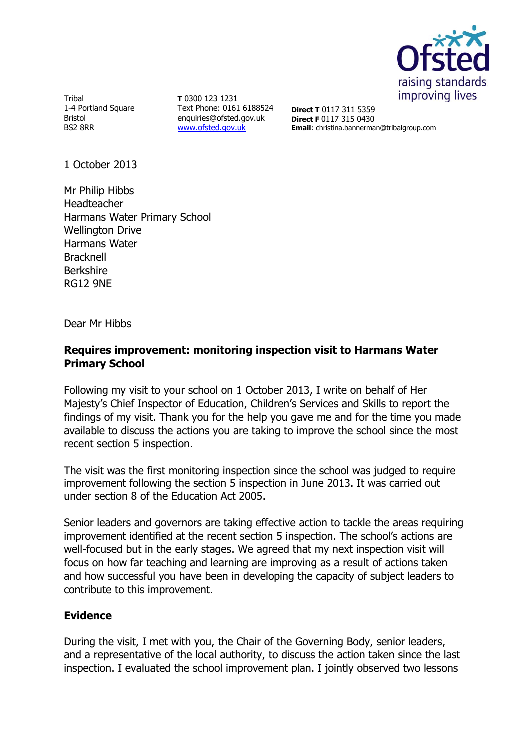

Tribal 1-4 Portland Square Bristol BS2 8RR

**T** 0300 123 1231 Text Phone: 0161 6188524 enquiries@ofsted.gov.uk [www.ofsted.gov.uk](http://www.ofsted.gov.uk/)

**Direct T** 0117 311 5359 **Direct F** 0117 315 0430 **Email**: christina.bannerman@tribalgroup.com

1 October 2013

Mr Philip Hibbs Headteacher Harmans Water Primary School Wellington Drive Harmans Water Bracknell Berkshire RG12 9NE

Dear Mr Hibbs

## **Requires improvement: monitoring inspection visit to Harmans Water Primary School**

Following my visit to your school on 1 October 2013, I write on behalf of Her Majesty's Chief Inspector of Education, Children's Services and Skills to report the findings of my visit. Thank you for the help you gave me and for the time you made available to discuss the actions you are taking to improve the school since the most recent section 5 inspection.

The visit was the first monitoring inspection since the school was judged to require improvement following the section 5 inspection in June 2013. It was carried out under section 8 of the Education Act 2005.

Senior leaders and governors are taking effective action to tackle the areas requiring improvement identified at the recent section 5 inspection. The school's actions are well-focused but in the early stages. We agreed that my next inspection visit will focus on how far teaching and learning are improving as a result of actions taken and how successful you have been in developing the capacity of subject leaders to contribute to this improvement.

# **Evidence**

During the visit, I met with you, the Chair of the Governing Body, senior leaders, and a representative of the local authority, to discuss the action taken since the last inspection. I evaluated the school improvement plan. I jointly observed two lessons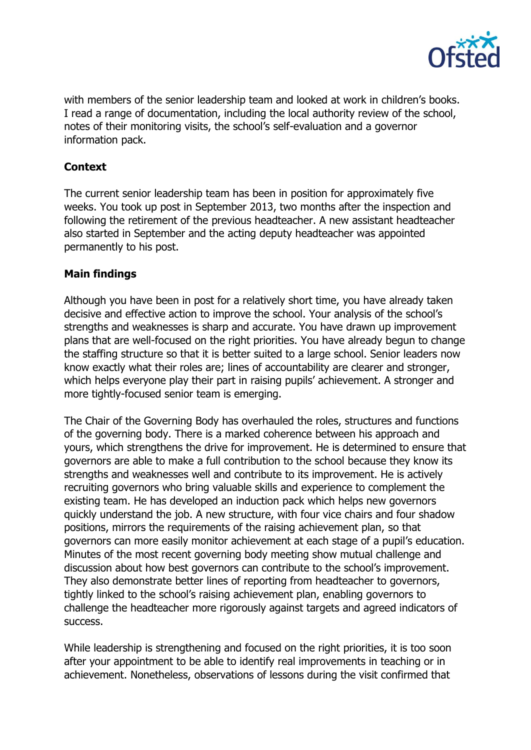

with members of the senior leadership team and looked at work in children's books. I read a range of documentation, including the local authority review of the school, notes of their monitoring visits, the school's self-evaluation and a governor information pack.

# **Context**

The current senior leadership team has been in position for approximately five weeks. You took up post in September 2013, two months after the inspection and following the retirement of the previous headteacher. A new assistant headteacher also started in September and the acting deputy headteacher was appointed permanently to his post.

## **Main findings**

Although you have been in post for a relatively short time, you have already taken decisive and effective action to improve the school. Your analysis of the school's strengths and weaknesses is sharp and accurate. You have drawn up improvement plans that are well-focused on the right priorities. You have already begun to change the staffing structure so that it is better suited to a large school. Senior leaders now know exactly what their roles are; lines of accountability are clearer and stronger, which helps everyone play their part in raising pupils' achievement. A stronger and more tightly-focused senior team is emerging.

The Chair of the Governing Body has overhauled the roles, structures and functions of the governing body. There is a marked coherence between his approach and yours, which strengthens the drive for improvement. He is determined to ensure that governors are able to make a full contribution to the school because they know its strengths and weaknesses well and contribute to its improvement. He is actively recruiting governors who bring valuable skills and experience to complement the existing team. He has developed an induction pack which helps new governors quickly understand the job. A new structure, with four vice chairs and four shadow positions, mirrors the requirements of the raising achievement plan, so that governors can more easily monitor achievement at each stage of a pupil's education. Minutes of the most recent governing body meeting show mutual challenge and discussion about how best governors can contribute to the school's improvement. They also demonstrate better lines of reporting from headteacher to governors, tightly linked to the school's raising achievement plan, enabling governors to challenge the headteacher more rigorously against targets and agreed indicators of success.

While leadership is strengthening and focused on the right priorities, it is too soon after your appointment to be able to identify real improvements in teaching or in achievement. Nonetheless, observations of lessons during the visit confirmed that